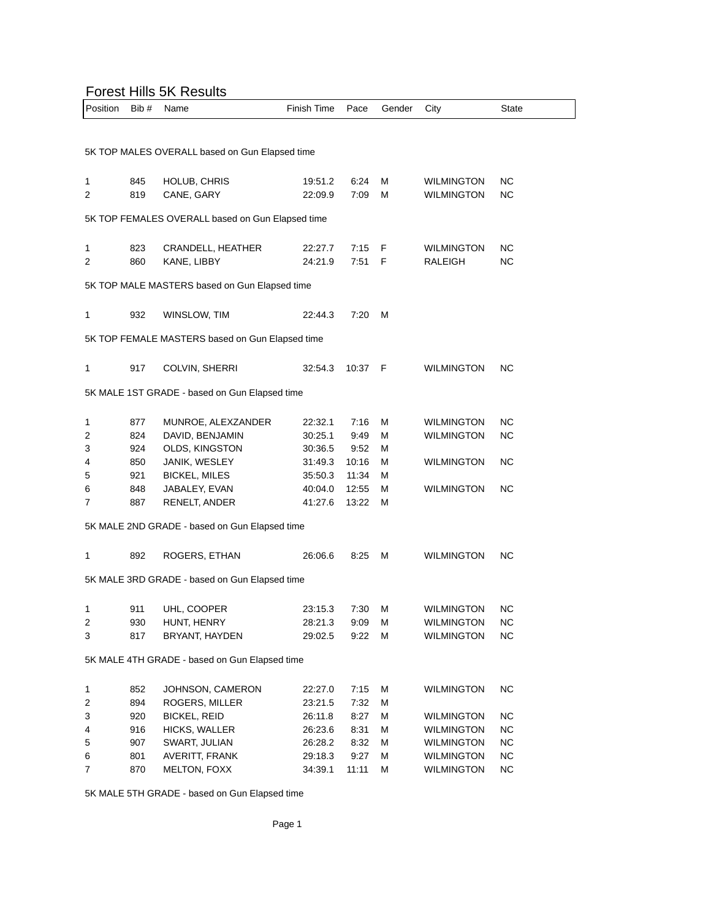## Forest Hills 5K Results

| oot i illio ort rtoodito                       |      |                                                  |             |       |        |                   |           |  |
|------------------------------------------------|------|--------------------------------------------------|-------------|-------|--------|-------------------|-----------|--|
| Position                                       | Bib# | Name                                             | Finish Time | Pace  | Gender | City              | State     |  |
|                                                |      |                                                  |             |       |        |                   |           |  |
|                                                |      |                                                  |             |       |        |                   |           |  |
| 5K TOP MALES OVERALL based on Gun Elapsed time |      |                                                  |             |       |        |                   |           |  |
|                                                |      |                                                  |             |       |        |                   |           |  |
| 1                                              | 845  | HOLUB, CHRIS                                     | 19:51.2     | 6:24  | М      | <b>WILMINGTON</b> | ΝC        |  |
| 2                                              | 819  | CANE, GARY                                       | 22:09.9     | 7:09  | М      | <b>WILMINGTON</b> | <b>NC</b> |  |
|                                                |      |                                                  |             |       |        |                   |           |  |
|                                                |      | 5K TOP FEMALES OVERALL based on Gun Elapsed time |             |       |        |                   |           |  |
|                                                |      |                                                  |             |       |        |                   |           |  |
| 1                                              | 823  | CRANDELL, HEATHER                                | 22:27.7     | 7:15  | F      | <b>WILMINGTON</b> | ΝC        |  |
| 2                                              | 860  | KANE, LIBBY                                      | 24:21.9     | 7:51  | F      | <b>RALEIGH</b>    | ΝC        |  |
|                                                |      |                                                  |             |       |        |                   |           |  |
|                                                |      | 5K TOP MALE MASTERS based on Gun Elapsed time    |             |       |        |                   |           |  |
|                                                |      |                                                  |             |       |        |                   |           |  |
| 1                                              | 932  | WINSLOW, TIM                                     | 22:44.3     | 7:20  | м      |                   |           |  |
|                                                |      |                                                  |             |       |        |                   |           |  |
|                                                |      | 5K TOP FEMALE MASTERS based on Gun Elapsed time  |             |       |        |                   |           |  |
|                                                |      |                                                  |             |       |        |                   |           |  |
| 1                                              | 917  | COLVIN, SHERRI                                   | 32:54.3     | 10:37 | - F    | <b>WILMINGTON</b> | ΝC        |  |
|                                                |      |                                                  |             |       |        |                   |           |  |
|                                                |      | 5K MALE 1ST GRADE - based on Gun Elapsed time    |             |       |        |                   |           |  |
|                                                |      |                                                  |             |       |        |                   |           |  |
| 1                                              | 877  | MUNROE, ALEXZANDER                               | 22:32.1     | 7:16  | М      | <b>WILMINGTON</b> | ΝC        |  |
| 2                                              | 824  | DAVID, BENJAMIN                                  | 30:25.1     | 9:49  | М      | <b>WILMINGTON</b> | ΝC        |  |
| 3                                              | 924  | OLDS, KINGSTON                                   | 30:36.5     | 9:52  | М      |                   |           |  |
| 4                                              | 850  | JANIK, WESLEY                                    | 31:49.3     | 10:16 | М      | <b>WILMINGTON</b> | NC.       |  |
| 5                                              | 921  | <b>BICKEL, MILES</b>                             | 35:50.3     | 11:34 | М      |                   |           |  |
| 6                                              | 848  | JABALEY, EVAN                                    | 40:04.0     | 12:55 | М      | <b>WILMINGTON</b> | ΝC        |  |
| 7                                              | 887  | RENELT, ANDER                                    | 41:27.6     | 13:22 | М      |                   |           |  |
|                                                |      |                                                  |             |       |        |                   |           |  |
| 5K MALE 2ND GRADE - based on Gun Elapsed time  |      |                                                  |             |       |        |                   |           |  |
|                                                |      |                                                  |             |       |        |                   |           |  |
| 1                                              | 892  | ROGERS, ETHAN                                    | 26:06.6     | 8:25  | М      | <b>WILMINGTON</b> | ΝC        |  |
|                                                |      |                                                  |             |       |        |                   |           |  |
| 5K MALE 3RD GRADE - based on Gun Elapsed time  |      |                                                  |             |       |        |                   |           |  |
|                                                |      |                                                  |             |       |        |                   |           |  |
| 1                                              | 911  | UHL, COOPER                                      | 23:15.3     | 7:30  | М      | WILMINGTON        | ΝC        |  |
| 2                                              | 930  | HUNT, HENRY                                      | 28:21.3     | 9:09  | M      | <b>WILMINGTON</b> | <b>NC</b> |  |
| 3                                              | 817  | BRYANT, HAYDEN                                   | 29:02.5     | 9:22  | М      | <b>WILMINGTON</b> | <b>NC</b> |  |
|                                                |      |                                                  |             |       |        |                   |           |  |
| 5K MALE 4TH GRADE - based on Gun Elapsed time  |      |                                                  |             |       |        |                   |           |  |
|                                                |      |                                                  |             |       |        |                   |           |  |
| 1                                              | 852  | JOHNSON, CAMERON                                 | 22:27.0     | 7:15  | М      | <b>WILMINGTON</b> | ΝC        |  |
| 2                                              | 894  | ROGERS, MILLER                                   | 23:21.5     | 7:32  | М      |                   |           |  |
| 3                                              | 920  | <b>BICKEL, REID</b>                              | 26:11.8     | 8:27  | М      | <b>WILMINGTON</b> | <b>NC</b> |  |
| 4                                              | 916  | HICKS, WALLER                                    | 26:23.6     | 8:31  | М      | <b>WILMINGTON</b> | <b>NC</b> |  |
| 5                                              | 907  | SWART, JULIAN                                    | 26:28.2     | 8:32  | М      | <b>WILMINGTON</b> | NC        |  |
| 6                                              | 801  | AVERITT, FRANK                                   | 29:18.3     | 9:27  | М      | <b>WILMINGTON</b> | <b>NC</b> |  |
| 7                                              | 870  | MELTON, FOXX                                     | 34:39.1     | 11:11 | М      | <b>WILMINGTON</b> | <b>NC</b> |  |
|                                                |      |                                                  |             |       |        |                   |           |  |

5K MALE 5TH GRADE - based on Gun Elapsed time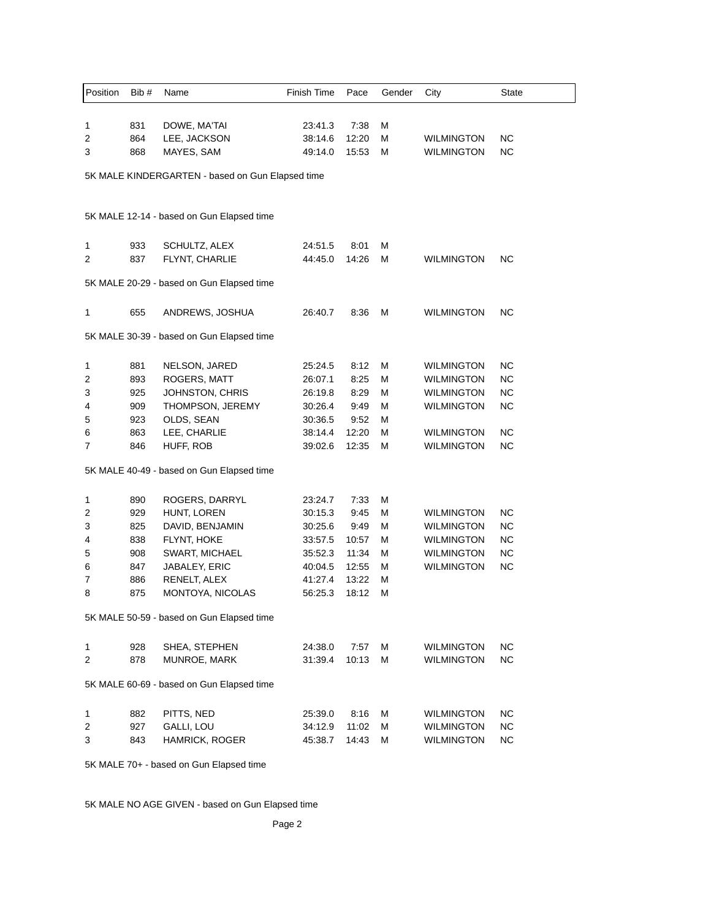| Position                                         | Bib#                                    | Name                                       | Finish Time                   | Pace                   | Gender      | City                                   | <b>State</b>    |  |  |
|--------------------------------------------------|-----------------------------------------|--------------------------------------------|-------------------------------|------------------------|-------------|----------------------------------------|-----------------|--|--|
| 1<br>2<br>3                                      | 831<br>864<br>868                       | DOWE, MA'TAI<br>LEE, JACKSON<br>MAYES, SAM | 23:41.3<br>38:14.6<br>49:14.0 | 7:38<br>12:20<br>15:53 | М<br>М<br>М | <b>WILMINGTON</b><br><b>WILMINGTON</b> | ΝC<br><b>NC</b> |  |  |
| 5K MALE KINDERGARTEN - based on Gun Elapsed time |                                         |                                            |                               |                        |             |                                        |                 |  |  |
| 5K MALE 12-14 - based on Gun Elapsed time        |                                         |                                            |                               |                        |             |                                        |                 |  |  |
| 1                                                | 933                                     | SCHULTZ, ALEX                              | 24:51.5                       | 8:01                   | М           |                                        |                 |  |  |
| 2                                                | 837                                     | FLYNT, CHARLIE                             | 44:45.0                       | 14:26                  | М           | <b>WILMINGTON</b>                      | ΝC              |  |  |
| 5K MALE 20-29 - based on Gun Elapsed time        |                                         |                                            |                               |                        |             |                                        |                 |  |  |
| 1                                                | 655                                     | ANDREWS, JOSHUA                            | 26:40.7                       | 8:36                   | М           | <b>WILMINGTON</b>                      | ΝC              |  |  |
| 5K MALE 30-39 - based on Gun Elapsed time        |                                         |                                            |                               |                        |             |                                        |                 |  |  |
| 1                                                | 881                                     | NELSON, JARED                              | 25:24.5                       | 8:12                   | М           | <b>WILMINGTON</b>                      | ΝC              |  |  |
| 2                                                | 893                                     | <b>ROGERS, MATT</b>                        | 26:07.1                       | 8:25                   | М           | <b>WILMINGTON</b>                      | ΝC              |  |  |
| 3                                                | 925                                     | JOHNSTON, CHRIS                            | 26:19.8                       | 8:29                   | М           | <b>WILMINGTON</b>                      | <b>NC</b>       |  |  |
| 4                                                | 909                                     | THOMPSON, JEREMY                           | 30:26.4                       | 9:49                   | М           | <b>WILMINGTON</b>                      | <b>NC</b>       |  |  |
| 5                                                | 923                                     | OLDS, SEAN                                 | 30:36.5                       | 9:52                   | м           |                                        |                 |  |  |
| 6                                                | 863                                     | LEE, CHARLIE                               | 38:14.4                       | 12:20                  | м           | <b>WILMINGTON</b>                      | <b>NC</b>       |  |  |
| 7                                                | 846                                     | HUFF, ROB                                  | 39:02.6                       | 12:35                  | М           | <b>WILMINGTON</b>                      | <b>NC</b>       |  |  |
|                                                  |                                         | 5K MALE 40-49 - based on Gun Elapsed time  |                               |                        |             |                                        |                 |  |  |
| 1                                                | 890                                     | ROGERS, DARRYL                             | 23:24.7                       | 7:33                   | М           |                                        |                 |  |  |
| 2                                                | 929                                     | HUNT, LOREN                                | 30:15.3                       | 9:45                   | М           | <b>WILMINGTON</b>                      | ΝC              |  |  |
| 3                                                | 825                                     | DAVID, BENJAMIN                            | 30:25.6                       | 9:49                   | М           | <b>WILMINGTON</b>                      | <b>NC</b>       |  |  |
| 4                                                | 838                                     | FLYNT, HOKE                                | 33:57.5                       | 10:57                  | м           | <b>WILMINGTON</b>                      | <b>NC</b>       |  |  |
| 5                                                | 908                                     | <b>SWART, MICHAEL</b>                      | 35:52.3                       | 11:34                  | м           | <b>WILMINGTON</b>                      | <b>NC</b>       |  |  |
| 6                                                | 847                                     | JABALEY, ERIC                              | 40:04.5                       | 12:55                  | М           | <b>WILMINGTON</b>                      | <b>NC</b>       |  |  |
| 7                                                | 886                                     | RENELT, ALEX                               | 41:27.4                       | 13:22                  | м           |                                        |                 |  |  |
| 8                                                | 875                                     | MONTOYA, NICOLAS                           | 56:25.3                       | 18:12                  | М           |                                        |                 |  |  |
| 5K MALE 50-59 - based on Gun Elapsed time        |                                         |                                            |                               |                        |             |                                        |                 |  |  |
| 1                                                | 928                                     | SHEA, STEPHEN                              | 24:38.0                       | 7:57                   | М           | <b>WILMINGTON</b>                      | <b>NC</b>       |  |  |
| 2                                                | 878                                     | MUNROE, MARK                               | 31:39.4                       | 10:13                  | M           | <b>WILMINGTON</b>                      | <b>NC</b>       |  |  |
| 5K MALE 60-69 - based on Gun Elapsed time        |                                         |                                            |                               |                        |             |                                        |                 |  |  |
|                                                  | 882                                     | PITTS, NED                                 | 25:39.0                       | 8:16                   | М           | <b>WILMINGTON</b>                      | <b>NC</b>       |  |  |
| 1                                                | 927                                     | GALLI, LOU                                 |                               | 11:02                  | М           | <b>WILMINGTON</b>                      | <b>NC</b>       |  |  |
| 2<br>3                                           | 843                                     | HAMRICK, ROGER                             | 34:12.9<br>45:38.7            | 14:43                  | М           | <b>WILMINGTON</b>                      | <b>NC</b>       |  |  |
|                                                  |                                         |                                            |                               |                        |             |                                        |                 |  |  |
|                                                  | 5K MALE 70+ - based on Gun Elapsed time |                                            |                               |                        |             |                                        |                 |  |  |

5K MALE NO AGE GIVEN - based on Gun Elapsed time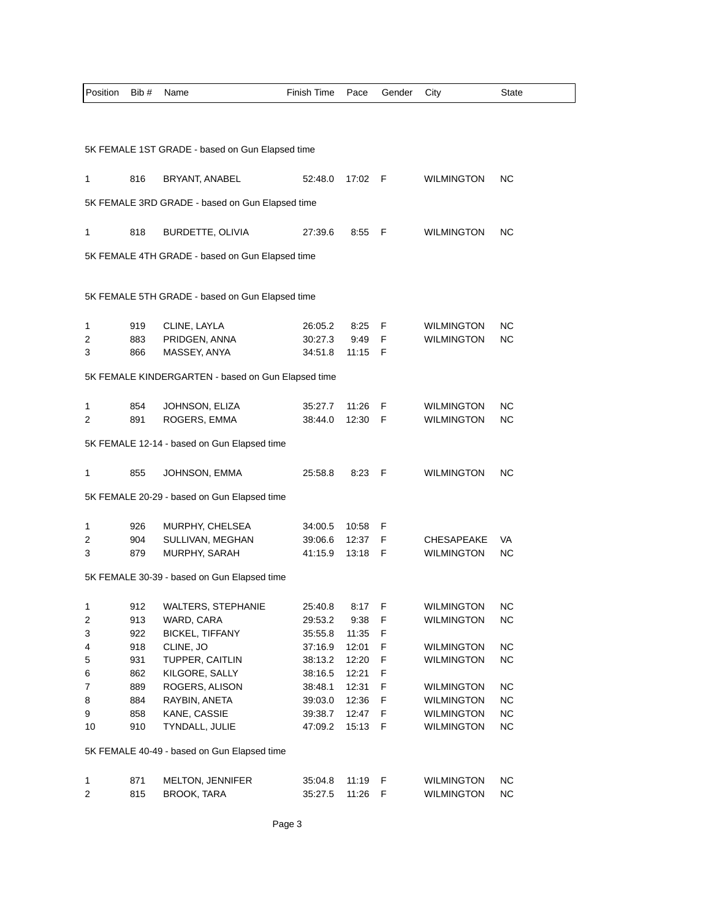| Position                                    | Bib #                                              | Name                                            | Finish Time        | Pace           | Gender | City              | State     |  |  |
|---------------------------------------------|----------------------------------------------------|-------------------------------------------------|--------------------|----------------|--------|-------------------|-----------|--|--|
|                                             |                                                    |                                                 |                    |                |        |                   |           |  |  |
|                                             |                                                    |                                                 |                    |                |        |                   |           |  |  |
|                                             | 5K FEMALE 1ST GRADE - based on Gun Elapsed time    |                                                 |                    |                |        |                   |           |  |  |
| 1                                           | 816                                                | BRYANT, ANABEL                                  | 52:48.0            | 17:02 F        |        | <b>WILMINGTON</b> | <b>NC</b> |  |  |
|                                             |                                                    | 5K FEMALE 3RD GRADE - based on Gun Elapsed time |                    |                |        |                   |           |  |  |
|                                             |                                                    |                                                 |                    |                |        |                   |           |  |  |
| 1                                           | 818                                                | BURDETTE, OLIVIA                                | 27:39.6            | 8:55           | - F    | <b>WILMINGTON</b> | NC.       |  |  |
|                                             |                                                    | 5K FEMALE 4TH GRADE - based on Gun Elapsed time |                    |                |        |                   |           |  |  |
|                                             |                                                    |                                                 |                    |                |        |                   |           |  |  |
|                                             |                                                    | 5K FEMALE 5TH GRADE - based on Gun Elapsed time |                    |                |        |                   |           |  |  |
|                                             |                                                    |                                                 |                    |                |        |                   |           |  |  |
| 1                                           | 919                                                | CLINE, LAYLA                                    | 26:05.2            | 8:25           | F      | <b>WILMINGTON</b> | NC.       |  |  |
| 2                                           | 883                                                | PRIDGEN, ANNA                                   | 30:27.3            | 9:49           | F      | WILMINGTON        | NC.       |  |  |
| 3                                           | 866                                                | MASSEY, ANYA                                    | 34:51.8            | 11:15          | F      |                   |           |  |  |
|                                             | 5K FEMALE KINDERGARTEN - based on Gun Elapsed time |                                                 |                    |                |        |                   |           |  |  |
|                                             |                                                    |                                                 |                    |                |        |                   |           |  |  |
| 1                                           | 854                                                | JOHNSON, ELIZA                                  | 35:27.7            | 11:26          | F      | <b>WILMINGTON</b> | NC.       |  |  |
| 2                                           | 891                                                | ROGERS, EMMA                                    | 38:44.0            | 12:30          | F      | <b>WILMINGTON</b> | NC.       |  |  |
|                                             |                                                    | 5K FEMALE 12-14 - based on Gun Elapsed time     |                    |                |        |                   |           |  |  |
|                                             |                                                    |                                                 |                    |                |        |                   |           |  |  |
| 1                                           | 855                                                | JOHNSON, EMMA                                   | 25:58.8            | 8:23           | F      | <b>WILMINGTON</b> | ΝC        |  |  |
|                                             |                                                    | 5K FEMALE 20-29 - based on Gun Elapsed time     |                    |                |        |                   |           |  |  |
|                                             |                                                    |                                                 |                    |                |        |                   |           |  |  |
| 1<br>2                                      | 926<br>904                                         | MURPHY, CHELSEA<br>SULLIVAN, MEGHAN             | 34:00.5<br>39:06.6 | 10:58<br>12:37 | F<br>F | <b>CHESAPEAKE</b> | VA        |  |  |
| 3                                           | 879                                                | MURPHY, SARAH                                   | 41:15.9            | 13:18          | F      | WILMINGTON        | NC.       |  |  |
|                                             |                                                    |                                                 |                    |                |        |                   |           |  |  |
| 5K FEMALE 30-39 - based on Gun Elapsed time |                                                    |                                                 |                    |                |        |                   |           |  |  |
| 1                                           | 912                                                | <b>WALTERS, STEPHANIE</b>                       | 25:40.8            | 8:17           | F      | <b>WILMINGTON</b> | <b>NC</b> |  |  |
| 2                                           | 913                                                | WARD, CARA                                      | 29:53.2            | 9:38           | F      | <b>WILMINGTON</b> | <b>NC</b> |  |  |
| 3                                           | 922                                                | <b>BICKEL, TIFFANY</b>                          | 35:55.8            | 11:35          | F      |                   |           |  |  |
| 4                                           | 918                                                | CLINE, JO                                       | 37:16.9            | 12:01          | F      | <b>WILMINGTON</b> | <b>NC</b> |  |  |
| 5                                           | 931                                                | TUPPER, CAITLIN                                 | 38:13.2            | 12:20          | F      | <b>WILMINGTON</b> | <b>NC</b> |  |  |
| 6                                           | 862                                                | KILGORE, SALLY                                  | 38:16.5            | 12:21          | F      |                   |           |  |  |
| 7                                           | 889                                                | ROGERS, ALISON                                  | 38:48.1            | 12:31          | F      | <b>WILMINGTON</b> | <b>NC</b> |  |  |
| 8                                           | 884                                                | RAYBIN, ANETA                                   | 39:03.0            | 12:36          | F      | <b>WILMINGTON</b> | <b>NC</b> |  |  |
| 9                                           | 858                                                | KANE, CASSIE                                    | 39:38.7            | 12:47          | F      | <b>WILMINGTON</b> | <b>NC</b> |  |  |
| 10                                          | 910                                                | TYNDALL, JULIE                                  | 47:09.2            | 15:13          | F      | WILMINGTON        | <b>NC</b> |  |  |
| 5K FEMALE 40-49 - based on Gun Elapsed time |                                                    |                                                 |                    |                |        |                   |           |  |  |
|                                             |                                                    |                                                 |                    |                |        |                   |           |  |  |
| 1                                           | 871                                                | MELTON, JENNIFER                                | 35:04.8            | 11:19          | F<br>F | <b>WILMINGTON</b> | <b>NC</b> |  |  |
| 2                                           | 815                                                | <b>BROOK, TARA</b>                              | 35:27.5            | 11:26          |        | <b>WILMINGTON</b> | <b>NC</b> |  |  |